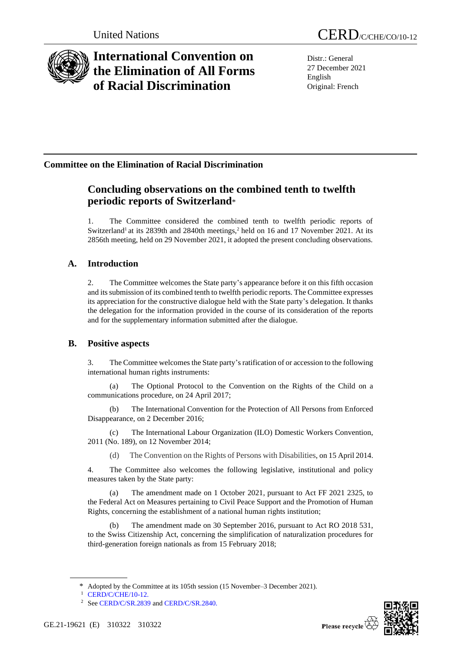

# **International Convention on the Elimination of All Forms of Racial Discrimination**

Distr.: General 27 December 2021 English Original: French

## **Committee on the Elimination of Racial Discrimination**

## **Concluding observations on the combined tenth to twelfth periodic reports of Switzerland**\*

1. The Committee considered the combined tenth to twelfth periodic reports of Switzerland<sup>1</sup> at its 2839th and 2840th meetings,<sup>2</sup> held on 16 and 17 November 2021. At its 2856th meeting, held on 29 November 2021, it adopted the present concluding observations.

## **A. Introduction**

2. The Committee welcomes the State party's appearance before it on this fifth occasion and its submission of its combined tenth to twelfth periodic reports. The Committee expresses its appreciation for the constructive dialogue held with the State party's delegation. It thanks the delegation for the information provided in the course of its consideration of the reports and for the supplementary information submitted after the dialogue.

### **B. Positive aspects**

3. The Committee welcomes the State party'sratification of or accession to the following international human rights instruments:

(a) The Optional Protocol to the Convention on the Rights of the Child on a communications procedure, on 24 April 2017;

(b) The International Convention for the Protection of All Persons from Enforced Disappearance, on 2 December 2016;

(c) The International Labour Organization (ILO) Domestic Workers Convention, 2011 (No. 189), on 12 November 2014;

(d) The Convention on the Rights of Persons with Disabilities, on 15 April 2014.

4. The Committee also welcomes the following legislative, institutional and policy measures taken by the State party:

(a) The amendment made on 1 October 2021, pursuant to Act FF 2021 2325, to the Federal Act on Measures pertaining to Civil Peace Support and the Promotion of Human Rights, concerning the establishment of a national human rights institution;

(b) The amendment made on 30 September 2016, pursuant to Act RO 2018 531, to the Swiss Citizenship Act, concerning the simplification of naturalization procedures for third-generation foreign nationals as from 15 February 2018;



<sup>\*</sup> Adopted by the Committee at its 105th session (15 November–3 December 2021).

<sup>1</sup> [CERD/C/CHE/10-12.](http://undocs.org/en/CERD/C/CHE/10-12)

<sup>&</sup>lt;sup>2</sup> Se[e CERD/C/SR.2839](http://undocs.org/en/CERD/C/SR.2839) an[d CERD/C/SR.2840.](http://undocs.org/en/CERD/C/SR.2840)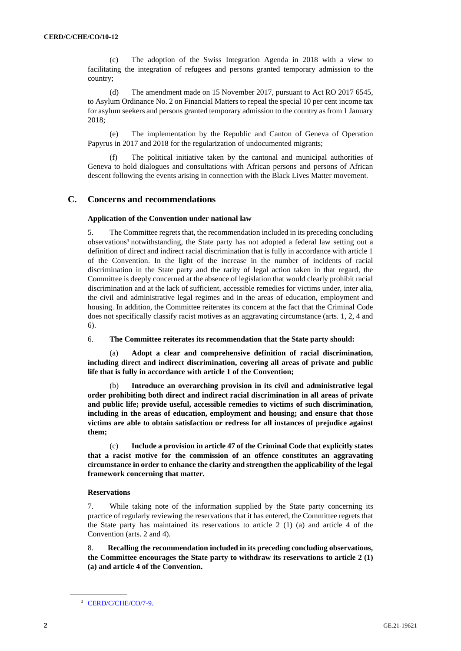(c) The adoption of the Swiss Integration Agenda in 2018 with a view to facilitating the integration of refugees and persons granted temporary admission to the country;

(d) The amendment made on 15 November 2017, pursuant to Act RO 2017 6545, to Asylum Ordinance No. 2 on Financial Matters to repeal the special 10 per cent income tax for asylum seekers and persons granted temporary admission to the country as from 1 January 2018;

(e) The implementation by the Republic and Canton of Geneva of Operation Papyrus in 2017 and 2018 for the regularization of undocumented migrants;

(f) The political initiative taken by the cantonal and municipal authorities of Geneva to hold dialogues and consultations with African persons and persons of African descent following the events arising in connection with the Black Lives Matter movement.

### **C. Concerns and recommendations**

#### **Application of the Convention under national law**

5. The Committee regrets that, the recommendation included in its preceding concluding observations<sup>3</sup> notwithstanding, the State party has not adopted a federal law setting out a definition of direct and indirect racial discrimination that is fully in accordance with article 1 of the Convention. In the light of the increase in the number of incidents of racial discrimination in the State party and the rarity of legal action taken in that regard, the Committee is deeply concerned at the absence of legislation that would clearly prohibit racial discrimination and at the lack of sufficient, accessible remedies for victims under, inter alia, the civil and administrative legal regimes and in the areas of education, employment and housing. In addition, the Committee reiterates its concern at the fact that the Criminal Code does not specifically classify racist motives as an aggravating circumstance (arts. 1, 2, 4 and 6).

6. **The Committee reiterates its recommendation that the State party should:**

(a) **Adopt a clear and comprehensive definition of racial discrimination, including direct and indirect discrimination, covering all areas of private and public life that is fully in accordance with article 1 of the Convention;**

(b) **Introduce an overarching provision in its civil and administrative legal order prohibiting both direct and indirect racial discrimination in all areas of private and public life; provide useful, accessible remedies to victims of such discrimination, including in the areas of education, employment and housing; and ensure that those victims are able to obtain satisfaction or redress for all instances of prejudice against them;**

(c) **Include a provision in article 47 of the Criminal Code that explicitly states that a racist motive for the commission of an offence constitutes an aggravating circumstance in order to enhance the clarity and strengthen the applicability of the legal framework concerning that matter.**

#### **Reservations**

7. While taking note of the information supplied by the State party concerning its practice of regularly reviewing the reservations that it has entered, the Committee regrets that the State party has maintained its reservations to article 2 (1) (a) and article 4 of the Convention (arts. 2 and 4).

8. **Recalling the recommendation included in its preceding concluding observations, the Committee encourages the State party to withdraw its reservations to article 2 (1) (a) and article 4 of the Convention.**

<sup>&</sup>lt;sup>3</sup> [CERD/C/CHE/CO/7-9.](http://undocs.org/en/CERD/C/CHE/CO/7-9)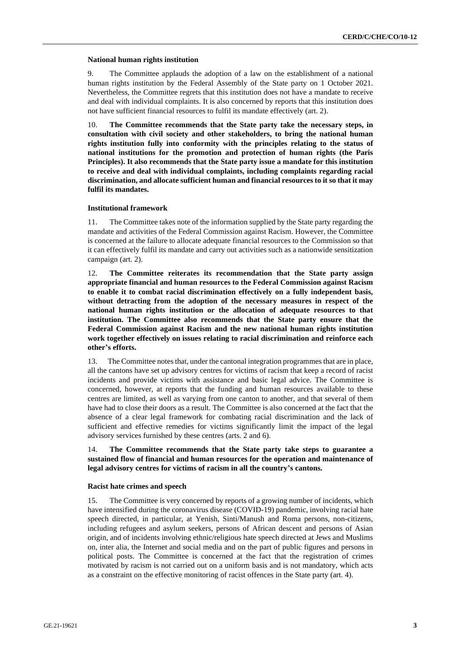#### **National human rights institution**

9. The Committee applauds the adoption of a law on the establishment of a national human rights institution by the Federal Assembly of the State party on 1 October 2021. Nevertheless, the Committee regrets that this institution does not have a mandate to receive and deal with individual complaints. It is also concerned by reports that this institution does not have sufficient financial resources to fulfil its mandate effectively (art. 2).

10. **The Committee recommends that the State party take the necessary steps, in consultation with civil society and other stakeholders, to bring the national human rights institution fully into conformity with the principles relating to the status of national institutions for the promotion and protection of human rights (the Paris Principles). It also recommends that the State party issue a mandate for this institution to receive and deal with individual complaints, including complaints regarding racial discrimination, and allocate sufficient human and financial resources to it so that it may fulfil its mandates.**

#### **Institutional framework**

11. The Committee takes note of the information supplied by the State party regarding the mandate and activities of the Federal Commission against Racism. However, the Committee is concerned at the failure to allocate adequate financial resources to the Commission so that it can effectively fulfil its mandate and carry out activities such as a nationwide sensitization campaign (art. 2).

12. **The Committee reiterates its recommendation that the State party assign appropriate financial and human resources to the Federal Commission against Racism to enable it to combat racial discrimination effectively on a fully independent basis, without detracting from the adoption of the necessary measures in respect of the national human rights institution or the allocation of adequate resources to that institution. The Committee also recommends that the State party ensure that the Federal Commission against Racism and the new national human rights institution work together effectively on issues relating to racial discrimination and reinforce each other's efforts.**

13. The Committee notesthat, under the cantonal integration programmes that are in place, all the cantons have set up advisory centres for victims of racism that keep a record of racist incidents and provide victims with assistance and basic legal advice. The Committee is concerned, however, at reports that the funding and human resources available to these centres are limited, as well as varying from one canton to another, and that several of them have had to close their doors as a result. The Committee is also concerned at the fact that the absence of a clear legal framework for combating racial discrimination and the lack of sufficient and effective remedies for victims significantly limit the impact of the legal advisory services furnished by these centres (arts. 2 and 6).

### 14. **The Committee recommends that the State party take steps to guarantee a sustained flow of financial and human resources for the operation and maintenance of legal advisory centres for victims of racism in all the country's cantons.**

#### **Racist hate crimes and speech**

15. The Committee is very concerned by reports of a growing number of incidents, which have intensified during the coronavirus disease (COVID-19) pandemic, involving racial hate speech directed, in particular, at Yenish, Sinti/Manush and Roma persons, non-citizens, including refugees and asylum seekers, persons of African descent and persons of Asian origin, and of incidents involving ethnic/religious hate speech directed at Jews and Muslims on, inter alia, the Internet and social media and on the part of public figures and persons in political posts. The Committee is concerned at the fact that the registration of crimes motivated by racism is not carried out on a uniform basis and is not mandatory, which acts as a constraint on the effective monitoring of racist offences in the State party (art. 4).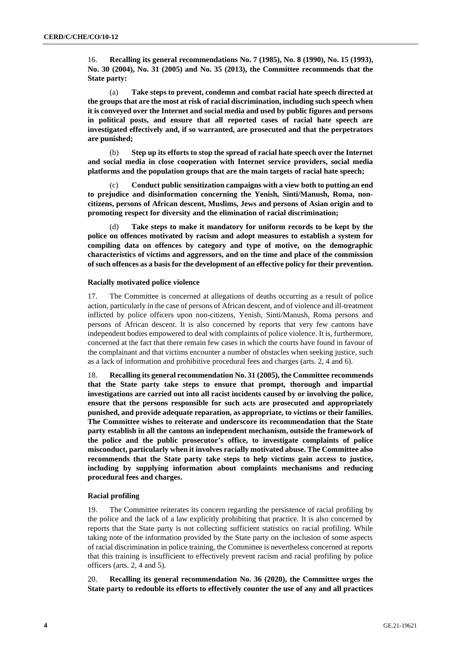16. **Recalling its general recommendations No. 7 (1985), No. 8 (1990), No. 15 (1993), No. 30 (2004), No. 31 (2005) and No. 35 (2013), the Committee recommends that the State party:**

(a) **Take steps to prevent, condemn and combat racial hate speech directed at the groups that are the most at risk of racial discrimination, including such speech when it is conveyed over the Internet and social media and used by public figures and persons in political posts, and ensure that all reported cases of racial hate speech are investigated effectively and, if so warranted, are prosecuted and that the perpetrators are punished;**

(b) **Step up its efforts to stop the spread of racial hate speech over the Internet and social media in close cooperation with Internet service providers, social media platforms and the population groups that are the main targets of racial hate speech;**

(c) **Conduct public sensitization campaigns with a view both to putting an end to prejudice and disinformation concerning the Yenish, Sinti/Manush, Roma, noncitizens, persons of African descent, Muslims, Jews and persons of Asian origin and to promoting respect for diversity and the elimination of racial discrimination;**

(d) **Take steps to make it mandatory for uniform records to be kept by the police on offences motivated by racism and adopt measures to establish a system for compiling data on offences by category and type of motive, on the demographic characteristics of victims and aggressors, and on the time and place of the commission of such offences as a basisfor the development of an effective policy for their prevention.**

#### **Racially motivated police violence**

17. The Committee is concerned at allegations of deaths occurring as a result of police action, particularly in the case of persons of African descent, and of violence and ill-treatment inflicted by police officers upon non-citizens, Yenish, Sinti/Manush, Roma persons and persons of African descent. It is also concerned by reports that very few cantons have independent bodies empowered to deal with complaints of police violence. It is, furthermore, concerned at the fact that there remain few cases in which the courts have found in favour of the complainant and that victims encounter a number of obstacles when seeking justice, such as a lack of information and prohibitive procedural fees and charges (arts. 2, 4 and 6).

18. **Recalling its general recommendation No. 31 (2005), the Committee recommends that the State party take steps to ensure that prompt, thorough and impartial investigations are carried out into all racist incidents caused by or involving the police, ensure that the persons responsible for such acts are prosecuted and appropriately punished, and provide adequate reparation, as appropriate, to victims or their families. The Committee wishes to reiterate and underscore its recommendation that the State party establish in all the cantons an independent mechanism, outside the framework of the police and the public prosecutor's office, to investigate complaints of police misconduct, particularly when it involves racially motivated abuse. The Committee also recommends that the State party take steps to help victims gain access to justice, including by supplying information about complaints mechanisms and reducing procedural fees and charges.**

#### **Racial profiling**

19. The Committee reiterates its concern regarding the persistence of racial profiling by the police and the lack of a law explicitly prohibiting that practice. It is also concerned by reports that the State party is not collecting sufficient statistics on racial profiling. While taking note of the information provided by the State party on the inclusion of some aspects of racial discrimination in police training, the Committee is nevertheless concerned at reports that this training is insufficient to effectively prevent racism and racial profiling by police officers (arts. 2, 4 and 5).

20. **Recalling its general recommendation No. 36 (2020), the Committee urges the State party to redouble its efforts to effectively counter the use of any and all practices**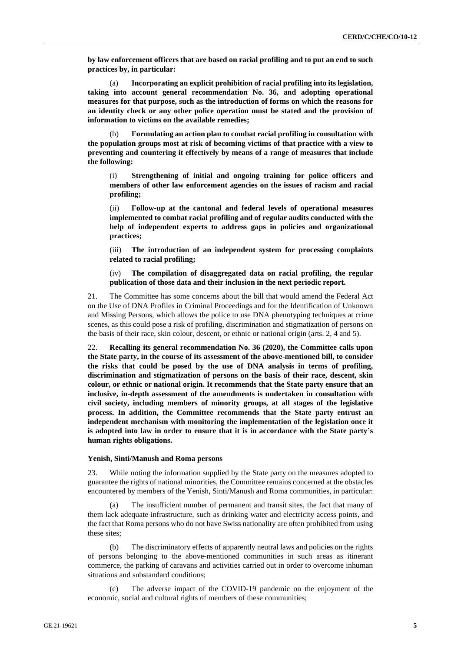**by law enforcement officers that are based on racial profiling and to put an end to such practices by, in particular:**

(a) **Incorporating an explicit prohibition of racial profiling into its legislation, taking into account general recommendation No. 36, and adopting operational measures for that purpose, such as the introduction of forms on which the reasons for an identity check or any other police operation must be stated and the provision of information to victims on the available remedies;**

(b) **Formulating an action plan to combat racial profiling in consultation with the population groups most at risk of becoming victims of that practice with a view to preventing and countering it effectively by means of a range of measures that include the following:**

(i) **Strengthening of initial and ongoing training for police officers and members of other law enforcement agencies on the issues of racism and racial profiling;**

(ii) **Follow-up at the cantonal and federal levels of operational measures implemented to combat racial profiling and of regular audits conducted with the help of independent experts to address gaps in policies and organizational practices;**

(iii) **The introduction of an independent system for processing complaints related to racial profiling;**

(iv) **The compilation of disaggregated data on racial profiling, the regular publication of those data and their inclusion in the next periodic report.**

21. The Committee has some concerns about the bill that would amend the Federal Act on the Use of DNA Profiles in Criminal Proceedings and for the Identification of Unknown and Missing Persons, which allows the police to use DNA phenotyping techniques at crime scenes, as this could pose a risk of profiling, discrimination and stigmatization of persons on the basis of their race, skin colour, descent, or ethnic or national origin (arts. 2, 4 and 5).

22. **Recalling its general recommendation No. 36 (2020), the Committee calls upon the State party, in the course of its assessment of the above-mentioned bill, to consider the risks that could be posed by the use of DNA analysis in terms of profiling, discrimination and stigmatization of persons on the basis of their race, descent, skin colour, or ethnic or national origin. It recommends that the State party ensure that an inclusive, in-depth assessment of the amendments is undertaken in consultation with civil society, including members of minority groups, at all stages of the legislative process. In addition, the Committee recommends that the State party entrust an independent mechanism with monitoring the implementation of the legislation once it is adopted into law in order to ensure that it is in accordance with the State party's human rights obligations.**

#### **Yenish, Sinti/Manush and Roma persons**

23. While noting the information supplied by the State party on the measures adopted to guarantee the rights of national minorities, the Committee remains concerned at the obstacles encountered by members of the Yenish, Sinti/Manush and Roma communities, in particular:

(a) The insufficient number of permanent and transit sites, the fact that many of them lack adequate infrastructure, such as drinking water and electricity access points, and the fact that Roma persons who do not have Swiss nationality are often prohibited from using these sites;

(b) The discriminatory effects of apparently neutral laws and policies on the rights of persons belonging to the above-mentioned communities in such areas as itinerant commerce, the parking of caravans and activities carried out in order to overcome inhuman situations and substandard conditions;

(c) The adverse impact of the COVID-19 pandemic on the enjoyment of the economic, social and cultural rights of members of these communities;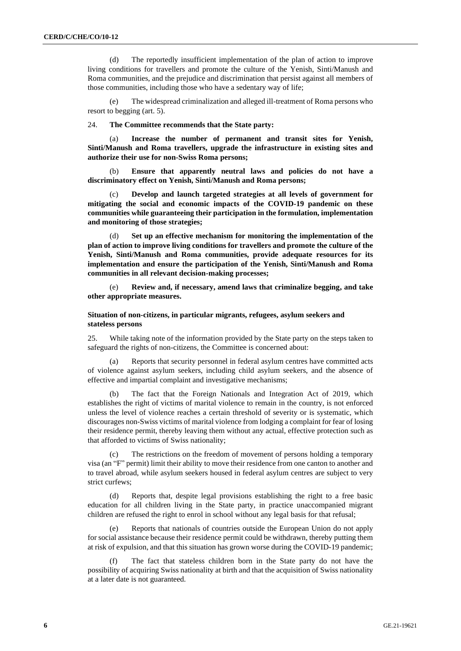(d) The reportedly insufficient implementation of the plan of action to improve living conditions for travellers and promote the culture of the Yenish, Sinti/Manush and Roma communities, and the prejudice and discrimination that persist against all members of those communities, including those who have a sedentary way of life;

The widespread criminalization and alleged ill-treatment of Roma persons who resort to begging (art. 5).

24. **The Committee recommends that the State party:**

(a) **Increase the number of permanent and transit sites for Yenish, Sinti/Manush and Roma travellers, upgrade the infrastructure in existing sites and authorize their use for non-Swiss Roma persons;**

(b) **Ensure that apparently neutral laws and policies do not have a discriminatory effect on Yenish, Sinti/Manush and Roma persons;**

(c) **Develop and launch targeted strategies at all levels of government for mitigating the social and economic impacts of the COVID-19 pandemic on these communities while guaranteeing their participation in the formulation, implementation and monitoring of those strategies;**

(d) **Set up an effective mechanism for monitoring the implementation of the plan of action to improve living conditions for travellers and promote the culture of the Yenish, Sinti/Manush and Roma communities, provide adequate resources for its implementation and ensure the participation of the Yenish, Sinti/Manush and Roma communities in all relevant decision-making processes;**

(e) **Review and, if necessary, amend laws that criminalize begging, and take other appropriate measures.**

#### **Situation of non-citizens, in particular migrants, refugees, asylum seekers and stateless persons**

25. While taking note of the information provided by the State party on the steps taken to safeguard the rights of non-citizens, the Committee is concerned about:

Reports that security personnel in federal asylum centres have committed acts of violence against asylum seekers, including child asylum seekers, and the absence of effective and impartial complaint and investigative mechanisms;

(b) The fact that the Foreign Nationals and Integration Act of 2019, which establishes the right of victims of marital violence to remain in the country, is not enforced unless the level of violence reaches a certain threshold of severity or is systematic, which discourages non-Swiss victims of marital violence from lodging a complaint for fear of losing their residence permit, thereby leaving them without any actual, effective protection such as that afforded to victims of Swiss nationality;

The restrictions on the freedom of movement of persons holding a temporary visa (an "F" permit) limit their ability to move their residence from one canton to another and to travel abroad, while asylum seekers housed in federal asylum centres are subject to very strict curfews;

(d) Reports that, despite legal provisions establishing the right to a free basic education for all children living in the State party, in practice unaccompanied migrant children are refused the right to enrol in school without any legal basis for that refusal;

(e) Reports that nationals of countries outside the European Union do not apply for social assistance because their residence permit could be withdrawn, thereby putting them at risk of expulsion, and that this situation has grown worse during the COVID-19 pandemic;

(f) The fact that stateless children born in the State party do not have the possibility of acquiring Swiss nationality at birth and that the acquisition of Swiss nationality at a later date is not guaranteed.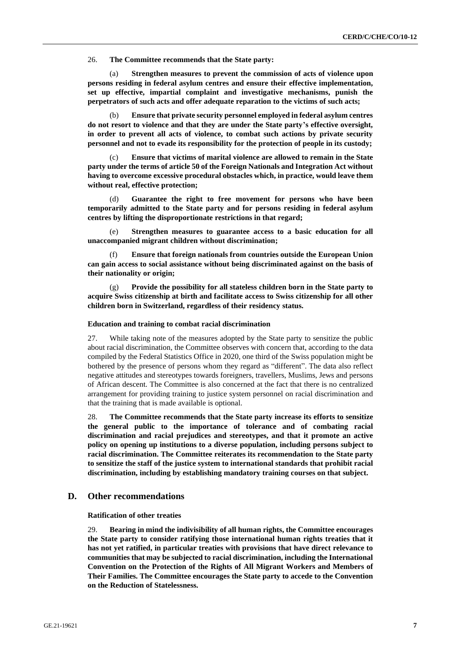26. **The Committee recommends that the State party:**

(a) **Strengthen measures to prevent the commission of acts of violence upon persons residing in federal asylum centres and ensure their effective implementation, set up effective, impartial complaint and investigative mechanisms, punish the perpetrators of such acts and offer adequate reparation to the victims of such acts;**

(b) **Ensure that private security personnel employed in federal asylum centres do not resort to violence and that they are under the State party's effective oversight, in order to prevent all acts of violence, to combat such actions by private security personnel and not to evade its responsibility for the protection of people in its custody;**

(c) **Ensure that victims of marital violence are allowed to remain in the State party under the terms of article 50 of the Foreign Nationals and Integration Act without having to overcome excessive procedural obstacles which, in practice, would leave them without real, effective protection;**

(d) **Guarantee the right to free movement for persons who have been temporarily admitted to the State party and for persons residing in federal asylum centres by lifting the disproportionate restrictions in that regard;**

(e) **Strengthen measures to guarantee access to a basic education for all unaccompanied migrant children without discrimination;**

(f) **Ensure that foreign nationals from countries outside the European Union can gain access to social assistance without being discriminated against on the basis of their nationality or origin;**

(g) **Provide the possibility for all stateless children born in the State party to acquire Swiss citizenship at birth and facilitate access to Swiss citizenship for all other children born in Switzerland, regardless of their residency status.**

#### **Education and training to combat racial discrimination**

27. While taking note of the measures adopted by the State party to sensitize the public about racial discrimination, the Committee observes with concern that, according to the data compiled by the Federal Statistics Office in 2020, one third of the Swiss population might be bothered by the presence of persons whom they regard as "different". The data also reflect negative attitudes and stereotypes towards foreigners, travellers, Muslims, Jews and persons of African descent. The Committee is also concerned at the fact that there is no centralized arrangement for providing training to justice system personnel on racial discrimination and that the training that is made available is optional.

28. **The Committee recommends that the State party increase its efforts to sensitize the general public to the importance of tolerance and of combating racial discrimination and racial prejudices and stereotypes, and that it promote an active policy on opening up institutions to a diverse population, including persons subject to racial discrimination. The Committee reiterates its recommendation to the State party to sensitize the staff of the justice system to international standards that prohibit racial discrimination, including by establishing mandatory training courses on that subject.**

### **D. Other recommendations**

**Ratification of other treaties**

29. **Bearing in mind the indivisibility of all human rights, the Committee encourages the State party to consider ratifying those international human rights treaties that it has not yet ratified, in particular treaties with provisions that have direct relevance to communities that may be subjected to racial discrimination, including the International Convention on the Protection of the Rights of All Migrant Workers and Members of Their Families. The Committee encourages the State party to accede to the Convention on the Reduction of Statelessness.**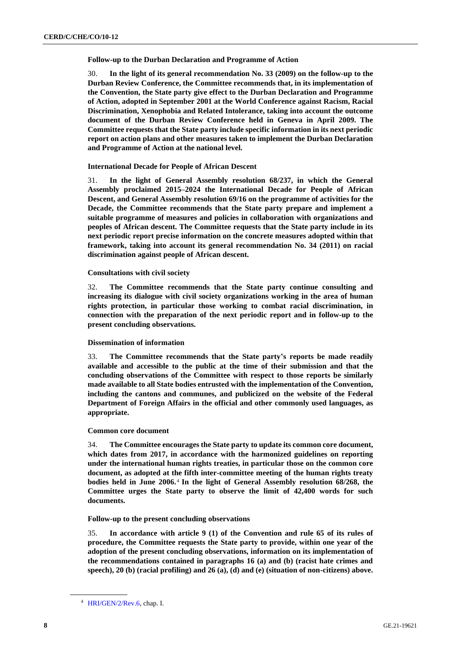**Follow-up to the Durban Declaration and Programme of Action**

30. **In the light of its general recommendation No. 33 (2009) on the follow-up to the Durban Review Conference, the Committee recommends that, in its implementation of the Convention, the State party give effect to the Durban Declaration and Programme of Action, adopted in September 2001 at the World Conference against Racism, Racial Discrimination, Xenophobia and Related Intolerance, taking into account the outcome document of the Durban Review Conference held in Geneva in April 2009. The Committee requests that the State party include specific information in its next periodic report on action plans and other measures taken to implement the Durban Declaration and Programme of Action at the national level.**

#### **International Decade for People of African Descent**

31. **In the light of General Assembly resolution 68/237, in which the General Assembly proclaimed 2015–2024 the International Decade for People of African Descent, and General Assembly resolution 69/16 on the programme of activities for the Decade, the Committee recommends that the State party prepare and implement a suitable programme of measures and policies in collaboration with organizations and peoples of African descent. The Committee requests that the State party include in its next periodic report precise information on the concrete measures adopted within that framework, taking into account its general recommendation No. 34 (2011) on racial discrimination against people of African descent.**

#### **Consultations with civil society**

32. **The Committee recommends that the State party continue consulting and increasing its dialogue with civil society organizations working in the area of human rights protection, in particular those working to combat racial discrimination, in connection with the preparation of the next periodic report and in follow-up to the present concluding observations.**

#### **Dissemination of information**

33. **The Committee recommends that the State party's reports be made readily available and accessible to the public at the time of their submission and that the concluding observations of the Committee with respect to those reports be similarly made available to all State bodies entrusted with the implementation of the Convention, including the cantons and communes, and publicized on the website of the Federal Department of Foreign Affairs in the official and other commonly used languages, as appropriate.**

#### **Common core document**

34. **The Committee encourages the State party to update its common core document, which dates from 2017, in accordance with the harmonized guidelines on reporting under the international human rights treaties, in particular those on the common core document, as adopted at the fifth inter-committee meeting of the human rights treaty bodies held in June 2006.**<sup>4</sup> **In the light of General Assembly resolution 68/268, the Committee urges the State party to observe the limit of 42,400 words for such documents.**

#### **Follow-up to the present concluding observations**

35. **In accordance with article 9 (1) of the Convention and rule 65 of its rules of procedure, the Committee requests the State party to provide, within one year of the adoption of the present concluding observations, information on its implementation of the recommendations contained in paragraphs 16 (a) and (b) (racist hate crimes and speech), 20 (b) (racial profiling) and 26 (a), (d) and (e) (situation of non-citizens) above.**

<sup>4</sup> [HRI/GEN/2/Rev.6,](http://undocs.org/en/HRI/GEN/2/Rev.6) chap. I.